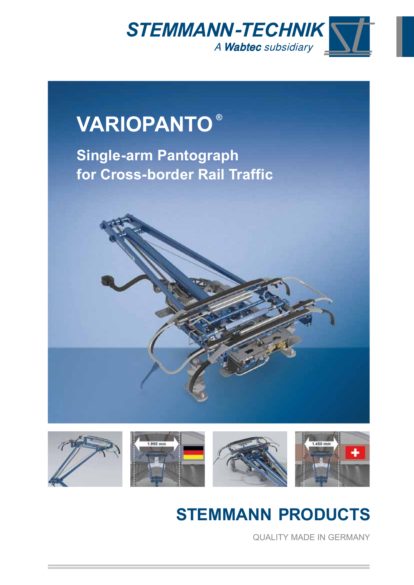

# **VARIOPANTO®**

**Single-arm Pantograph for Cross-border Rail Traffic**





### **STEMMANN PRODUCTS**

QUALITY MADE IN GERMANY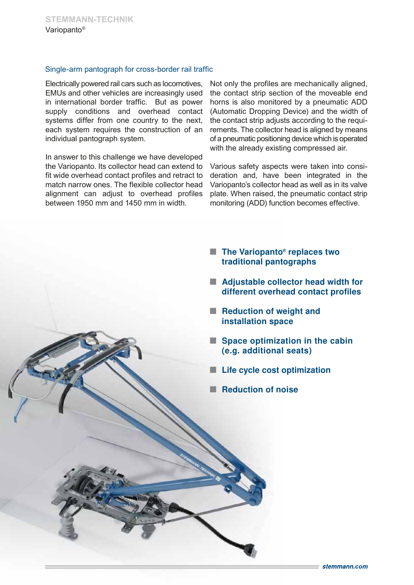### Single-arm pantograph for cross-border rail traffic

Electrically powered rail cars such as locomotives, EMUs and other vehicles are increasingly used in international border traffic. But as power supply conditions and overhead contact systems differ from one country to the next, each system requires the construction of an individual pantograph system.

In answer to this challenge we have developed the Variopanto. Its collector head can extend to fit wide overhead contact profiles and retract to match narrow ones. The flexible collector head alignment can adjust to overhead profiles between 1950 mm and 1450 mm in width.

Not only the profiles are mechanically aligned, the contact strip section of the moveable end horns is also monitored by a pneumatic ADD (Automatic Dropping Device) and the width of the contact strip adjusts according to the requirements. The collector head is aligned by means of a pneumatic positioning device which is operated with the already existing compressed air.

Various safety aspects were taken into consideration and, have been integrated in the Variopanto's collector head as well as in its valve plate. When raised, the pneumatic contact strip monitoring (ADD) function becomes effective.

- The Variopanto<sup>®</sup> replaces two traditional pantographs
- Adjustable collector head width for different overhead contact profiles
- Reduction of weight and installation space
- Space optimization in the cabin (e.g. additional seats)
- Life cycle cost optimization
- Reduction of noise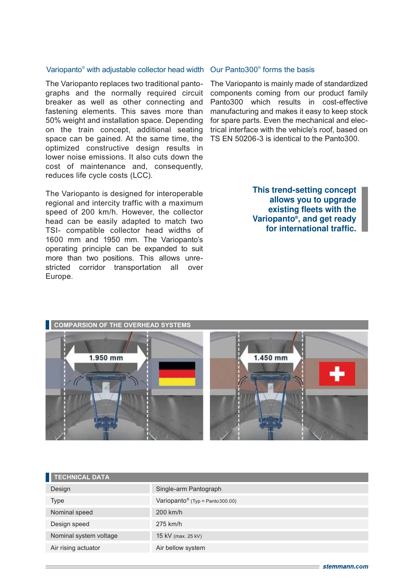#### Variopanto® with adjustable collector head width Our Panto300® forms the basis

The Variopanto replaces two traditional pantographs and the normally required circuit breaker as well as other connecting and fastening elements. This saves more than 50% weight and installation space. Depending on the train concept, additional seating space can be gained. At the same time, the optimized constructive design results in lower noise emissions. It also cuts down the cost of maintenance and, consequently, reduces life cycle costs (LCC).

The Variopanto is designed for interoperable regional and intercity traffic with a maximum speed of 200 km/h. However, the collector head can be easily adapted to match two TSI- compatible collector head widths of 1600 mm and 1950 mm. The Variopanto's operating principle can be expanded to suit more than two positions. This allows unrestricted corridor transportation all over Europe.

The Variopanto is mainly made of standardized components coming from our product family Panto300 which results in cost-effective manufacturing and makes it easy to keep stock for spare parts. Even the mechanical and electrical interface with the vehicle's roof, based on TS EN 50206-3 is identical to the Panto300.

> This trend-setting concept allows you to upgrade existing fleets with the Variopanto®, and get ready for international traffic.



| TECHNICAL DATA         |                                              |
|------------------------|----------------------------------------------|
| Design                 | Single-arm Pantograph                        |
| <b>Type</b>            | Variopanto <sup>®</sup> (Typ = Panto 300.00) |
| Nominal speed          | $200$ km/h                                   |
| Design speed           | 275 km/h                                     |
| Nominal system voltage | 15 kV (max. 25 kV)                           |
| Air rising actuator    | Air bellow system                            |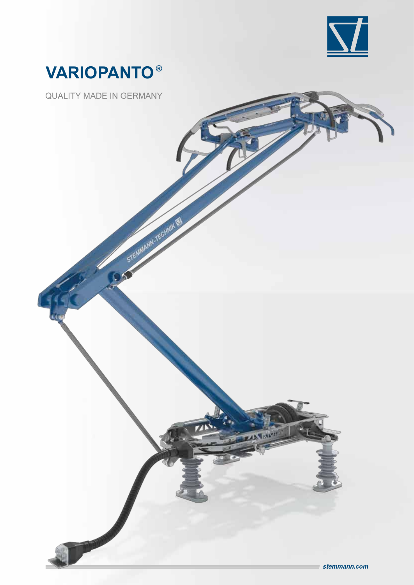

## **VARIOPANTO®**